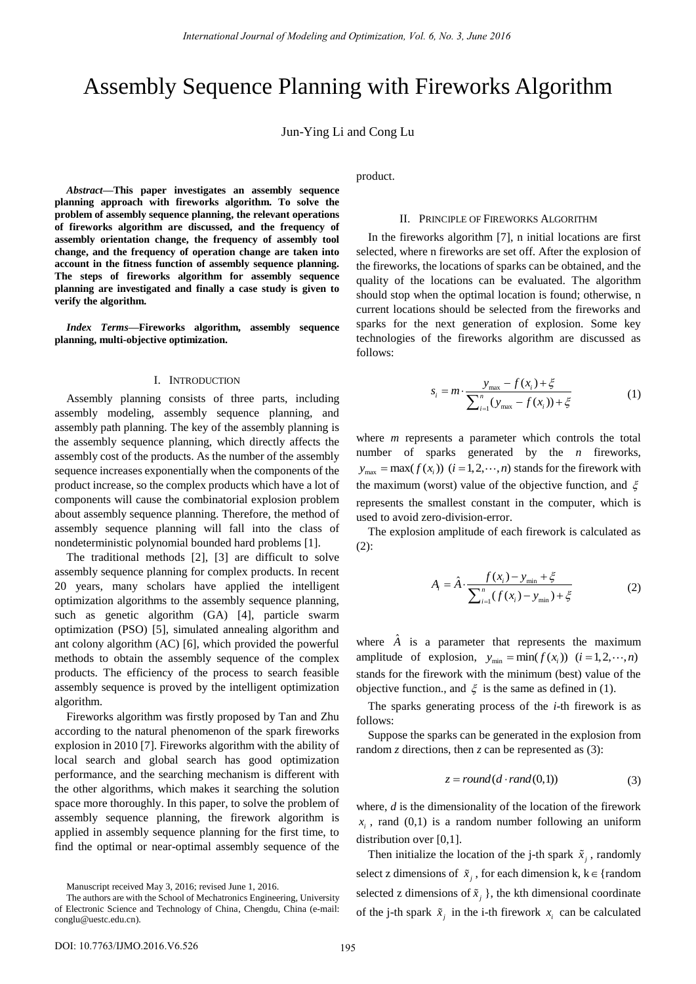# Assembly Sequence Planning with Fireworks Algorithm

Jun-Ying Li and Cong Lu

*Abstract***—This paper investigates an assembly sequence planning approach with fireworks algorithm. To solve the problem of assembly sequence planning, the relevant operations of fireworks algorithm are discussed, and the frequency of assembly orientation change, the frequency of assembly tool change, and the frequency of operation change are taken into account in the fitness function of assembly sequence planning. The steps of fireworks algorithm for assembly sequence planning are investigated and finally a case study is given to verify the algorithm.** 

*Index Terms***—Fireworks algorithm, assembly sequence planning, multi-objective optimization.** 

#### I. INTRODUCTION

Assembly planning consists of three parts, including assembly modeling, assembly sequence planning, and assembly path planning. The key of the assembly planning is the assembly sequence planning, which directly affects the assembly cost of the products. As the number of the assembly sequence increases exponentially when the components of the product increase, so the complex products which have a lot of components will cause the combinatorial explosion problem about assembly sequence planning. Therefore, the method of assembly sequence planning will fall into the class of nondeterministic polynomial bounded hard problems [1].

The traditional methods [2], [3] are difficult to solve assembly sequence planning for complex products. In recent 20 years, many scholars have applied the intelligent optimization algorithms to the assembly sequence planning, such as genetic algorithm (GA) [4], particle swarm optimization (PSO) [5], simulated annealing algorithm and ant colony algorithm (AC) [6], which provided the powerful methods to obtain the assembly sequence of the complex products. The efficiency of the process to search feasible assembly sequence is proved by the intelligent optimization algorithm.

Fireworks algorithm was firstly proposed by Tan and Zhu according to the natural phenomenon of the spark fireworks explosion in 2010 [7]. Fireworks algorithm with the ability of local search and global search has good optimization performance, and the searching mechanism is different with the other algorithms, which makes it searching the solution space more thoroughly. In this paper, to solve the problem of assembly sequence planning, the firework algorithm is applied in assembly sequence planning for the first time, to find the optimal or near-optimal assembly sequence of the product.

#### II. PRINCIPLE OF FIREWORKS ALGORITHM

In the fireworks algorithm [7], n initial locations are first selected, where n fireworks are set off. After the explosion of the fireworks, the locations of sparks can be obtained, and the quality of the locations can be evaluated. The algorithm should stop when the optimal location is found; otherwise, n current locations should be selected from the fireworks and sparks for the next generation of explosion. Some key technologies of the fireworks algorithm are discussed as follows:

$$
s_i = m \cdot \frac{y_{\text{max}} - f(x_i) + \xi}{\sum_{i=1}^n (y_{\text{max}} - f(x_i)) + \xi}
$$
 (1)

where *m* represents a parameter which controls the total number of sparks generated by the *n* fireworks,  $y_{\text{max}} = \max(f(x_i))$   $(i = 1, 2, \dots, n)$  stands for the firework with the maximum (worst) value of the objective function, and  $\xi$ represents the smallest constant in the computer, which is used to avoid zero-division-error.

The explosion amplitude of each firework is calculated as  $(2)$ :

$$
A_{i} = \hat{A} \cdot \frac{f(x_{i}) - y_{\min} + \xi}{\sum_{i=1}^{n} (f(x_{i}) - y_{\min}) + \xi}
$$
(2)

where  $\hat{A}$  is a parameter that represents the maximum amplitude of explosion,  $y_{\text{min}} = \min(f(x_i))$   $(i = 1, 2, \dots, n)$ stands for the firework with the minimum (best) value of the objective function., and  $\xi$  is the same as defined in (1).

The sparks generating process of the *i*-th firework is as follows:

Suppose the sparks can be generated in the explosion from random *z* directions, then *z* can be represented as (3):

$$
z = round(d \cdot rand(0,1))
$$
\n<sup>(3)</sup>

where, *d* is the dimensionality of the location of the firework  $x_i$ , rand (0,1) is a random number following an uniform distribution over [0,1].

Then initialize the location of the j-th spark  $\tilde{x}_j$ , randomly select z dimensions of  $\tilde{x}_j$ , for each dimension k, k  $\in$  {random selected z dimensions of  $\tilde{x}_j$ , the kth dimensional coordinate of the j-th spark  $\tilde{x}_i$  in the i-th firework  $x_i$  can be calculated

Manuscript received May 3, 2016; revised June 1, 2016.

The authors are with the School of Mechatronics Engineering, University of Electronic Science and Technology of China, Chengdu, China (e-mail: conglu@uestc.edu.cn).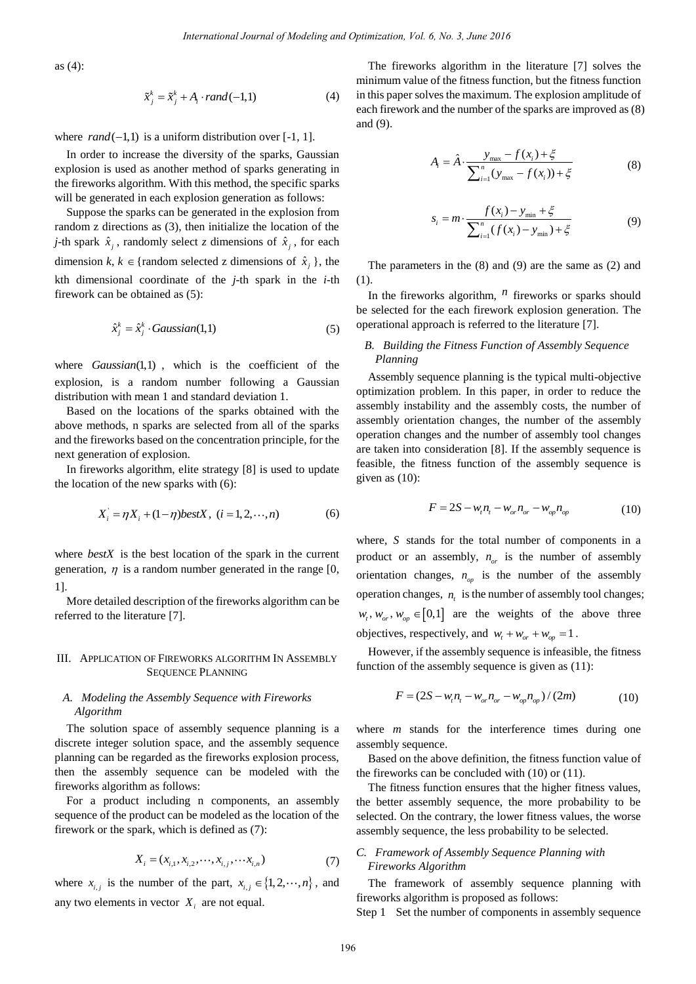as (4):

$$
\tilde{x}_j^k = \tilde{x}_j^k + A_i \cdot rand(-1,1) \tag{4}
$$

where  $rand(-1,1)$  is a uniform distribution over  $[-1, 1]$ .

In order to increase the diversity of the sparks, Gaussian explosion is used as another method of sparks generating in the fireworks algorithm. With this method, the specific sparks will be generated in each explosion generation as follows:

Suppose the sparks can be generated in the explosion from random z directions as (3), then initialize the location of the *j*-th spark  $\hat{x}_j$ , randomly select *z* dimensions of  $\hat{x}_j$ , for each dimension  $k, k \in \{\text{random selected z dimensions of } \hat{x}_j\}$ , the kth dimensional coordinate of the *j*-th spark in the *i*-th firework can be obtained as (5):

$$
\hat{x}_j^k = \hat{x}_j^k \cdot Gaussian(1,1) \tag{5}
$$

where *Gaussian*(1,1) , which is the coefficient of the explosion, is a random number following a Gaussian distribution with mean 1 and standard deviation 1.

Based on the locations of the sparks obtained with the above methods, n sparks are selected from all of the sparks and the fireworks based on the concentration principle, for the next generation of explosion.

In fireworks algorithm, elite strategy [8] is used to update the location of the new sparks with (6):

$$
X'_{i} = \eta X_{i} + (1 - \eta) bestX, \ (i = 1, 2, \cdots, n)
$$
 (6)

where *bestX* is the best location of the spark in the current generation,  $\eta$  is a random number generated in the range [0, 1].

More detailed description of the fireworks algorithm can be referred to the literature [7].

## III. APPLICATION OF FIREWORKS ALGORITHM IN ASSEMBLY SEQUENCE PLANNING

# *A. Modeling the Assembly Sequence with Fireworks Algorithm*

The solution space of assembly sequence planning is a discrete integer solution space, and the assembly sequence planning can be regarded as the fireworks explosion process, then the assembly sequence can be modeled with the fireworks algorithm as follows:

For a product including n components, an assembly sequence of the product can be modeled as the location of the firework or the spark, which is defined as (7):

$$
X_i = (x_{i,1}, x_{i,2}, \cdots, x_{i,j}, \cdots, x_{i,n})
$$
\n(7)

where  $x_{i,j}$  is the number of the part,  $x_{i,j} \in \{1, 2, \dots, n\}$ , and any two elements in vector  $X_i$  are not equal.

The fireworks algorithm in the literature [7] solves the minimum value of the fitness function, but the fitness function in this paper solves the maximum. The explosion amplitude of each firework and the number of the sparks are improved as (8) and (9).

$$
A_{i} = \hat{A} \cdot \frac{y_{\text{max}} - f(x_{i}) + \xi}{\sum_{i=1}^{n} (y_{\text{max}} - f(x_{i})) + \xi}
$$
(8)

$$
s_i = m \cdot \frac{f(x_i) - y_{\min} + \xi}{\sum_{i=1}^n (f(x_i) - y_{\min}) + \xi}
$$
(9)

The parameters in the (8) and (9) are the same as (2) and (1).

In the fireworks algorithm,  $<sup>n</sup>$  fireworks or sparks should</sup> be selected for the each firework explosion generation. The operational approach is referred to the literature [7].

# *B. Building the Fitness Function of Assembly Sequence Planning*

Assembly sequence planning is the typical multi-objective optimization problem. In this paper, in order to reduce the assembly instability and the assembly costs, the number of assembly orientation changes, the number of the assembly operation changes and the number of assembly tool changes are taken into consideration [8]. If the assembly sequence is feasible, the fitness function of the assembly sequence is given as (10): *International Journal of Modeling and Optimization, Vol. 6, No. 3, June 2018*<br>
The freeworks algorithm in the financial contribution with the same sixtension<br>  $A_1 \cdot \text{rand}(-1,1)$  the fine method of same sixtension can be t

$$
F = 2S - w_{t}n_{t} - w_{or}n_{or} - w_{op}n_{op}
$$
 (10)

where, *S* stands for the total number of components in a product or an assembly,  $n_{or}$  is the number of assembly orientation changes,  $n_{op}$  is the number of the assembly operation changes, *n*, is the number of assembly tool changes;  $w_t, w_{\sigma t}, w_{\sigma \sigma} \in [0,1]$  are the weights of the above three objectives, respectively, and  $w_t + w_{or} + w_{op} = 1$ .

However, if the assembly sequence is infeasible, the fitness function of the assembly sequence is given as (11):

$$
F = (2S - wt nt - wor nor - wop nop)/(2m)
$$
 (10)

where *m* stands for the interference times during one assembly sequence.

Based on the above definition, the fitness function value of the fireworks can be concluded with (10) or (11).

The fitness function ensures that the higher fitness values, the better assembly sequence, the more probability to be selected. On the contrary, the lower fitness values, the worse assembly sequence, the less probability to be selected.

# *C. Framework of Assembly Sequence Planning with Fireworks Algorithm*

The framework of assembly sequence planning with fireworks algorithm is proposed as follows:

Step 1 Set the number of components in assembly sequence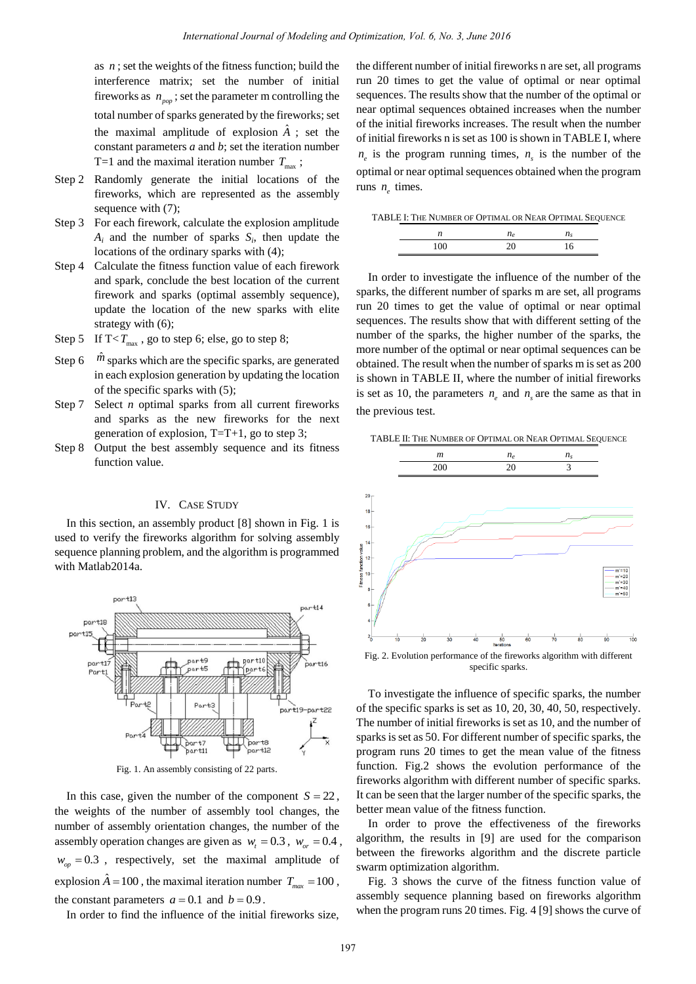as  $n$ ; set the weights of the fitness function; build the interference matrix; set the number of initial fireworks as  $n_{pop}$ ; set the parameter m controlling the total number of sparks generated by the fireworks; set the maximal amplitude of explosion  $\hat{A}$ ; set the constant parameters *a* and *b*; set the iteration number T=1 and the maximal iteration number  $T_{\text{max}}$ ;

- Step 2 Randomly generate the initial locations of the fireworks, which are represented as the assembly sequence with  $(7)$ ;
- Step 3 For each firework, calculate the explosion amplitude  $A_i$  and the number of sparks  $S_i$ , then update the locations of the ordinary sparks with (4);
- Step 4 Calculate the fitness function value of each firework and spark, conclude the best location of the current firework and sparks (optimal assembly sequence), update the location of the new sparks with elite strategy with (6);
- Step 5 If  $T < T_{\text{max}}$ , go to step 6; else, go to step 8;
- Step  $6 \hat{m}$  sparks which are the specific sparks, are generated in each explosion generation by updating the location of the specific sparks with (5);
- Step 7 Select *n* optimal sparks from all current fireworks and sparks as the new fireworks for the next generation of explosion,  $T=T+1$ , go to step 3;
- Step 8 Output the best assembly sequence and its fitness function value.

## IV. CASE STUDY

In this section, an assembly product [8] shown in Fig. 1 is used to verify the fireworks algorithm for solving assembly sequence planning problem, and the algorithm is programmed with Matlab2014a.



Fig. 1. An assembly consisting of 22 parts.

In this case, given the number of the component  $S = 22$ , the weights of the number of assembly tool changes, the number of assembly orientation changes, the number of the assembly operation changes are given as  $w_t = 0.3$ ,  $w_{\text{or}} = 0.4$ ,  $w_{op} = 0.3$ , respectively, set the maximal amplitude of explosion  $\hat{A} = 100$ , the maximal iteration number  $T_{max} = 100$ , the constant parameters  $a = 0.1$  and  $b = 0.9$ .

In order to find the influence of the initial fireworks size,

the different number of initial fireworks n are set, all programs run 20 times to get the value of optimal or near optimal sequences. The results show that the number of the optimal or near optimal sequences obtained increases when the number of the initial fireworks increases. The result when the number of initial fireworks n is set as 100 is shown in TABLE I, where  $n_e$  is the program running times,  $n_s$  is the number of the optimal or near optimal sequences obtained when the program runs  $n_e$  times.

|  |  |  | TABLE I: THE NUMBER OF OPTIMAL OR NEAR OPTIMAL SEQUENCE |
|--|--|--|---------------------------------------------------------|
|--|--|--|---------------------------------------------------------|

| ◡ |  |
|---|--|

In order to investigate the influence of the number of the sparks, the different number of sparks m are set, all programs run 20 times to get the value of optimal or near optimal sequences. The results show that with different setting of the number of the sparks, the higher number of the sparks, the more number of the optimal or near optimal sequences can be obtained. The result when the number of sparks m is set as 200 is shown in TABLE II, where the number of initial fireworks is set as 10, the parameters  $n_e$  and  $n_s$  are the same as that in the previous test.

TABLE II: THE NUMBER OF OPTIMAL OR NEAR OPTIMAL SEQUENCE



To investigate the influence of specific sparks, the number of the specific sparks is set as 10, 20, 30, 40, 50, respectively. The number of initial fireworks is set as 10, and the number of sparks is set as 50. For different number of specific sparks, the program runs 20 times to get the mean value of the fitness function. Fig.2 shows the evolution performance of the fireworks algorithm with different number of specific sparks. It can be seen that the larger number of the specific sparks, the better mean value of the fitness function.

In order to prove the effectiveness of the fireworks algorithm, the results in [9] are used for the comparison between the fireworks algorithm and the discrete particle swarm optimization algorithm.

Fig. 3 shows the curve of the fitness function value of assembly sequence planning based on fireworks algorithm when the program runs 20 times. Fig. 4 [9] shows the curve of